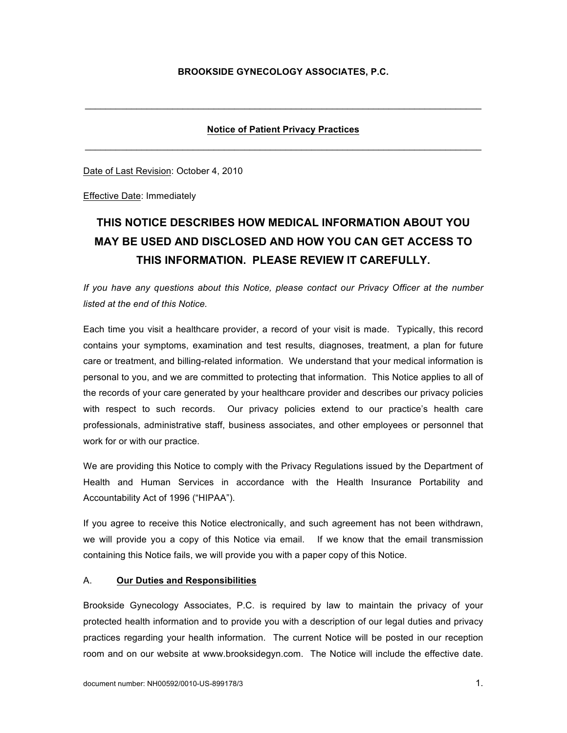# **Notice of Patient Privacy Practices**  $\mathcal{L}_\text{max}$  , and the set of the set of the set of the set of the set of the set of the set of the set of the set of the set of the set of the set of the set of the set of the set of the set of the set of the set of the

 $\mathcal{L}_\mathcal{L} = \{ \mathcal{L}_\mathcal{L} = \{ \mathcal{L}_\mathcal{L} = \{ \mathcal{L}_\mathcal{L} = \{ \mathcal{L}_\mathcal{L} = \{ \mathcal{L}_\mathcal{L} = \{ \mathcal{L}_\mathcal{L} = \{ \mathcal{L}_\mathcal{L} = \{ \mathcal{L}_\mathcal{L} = \{ \mathcal{L}_\mathcal{L} = \{ \mathcal{L}_\mathcal{L} = \{ \mathcal{L}_\mathcal{L} = \{ \mathcal{L}_\mathcal{L} = \{ \mathcal{L}_\mathcal{L} = \{ \mathcal{L}_\mathcal{$ 

Date of Last Revision: October 4, 2010

Effective Date: Immediately

# **THIS NOTICE DESCRIBES HOW MEDICAL INFORMATION ABOUT YOU MAY BE USED AND DISCLOSED AND HOW YOU CAN GET ACCESS TO THIS INFORMATION. PLEASE REVIEW IT CAREFULLY.**

*If you have any questions about this Notice, please contact our Privacy Officer at the number listed at the end of this Notice.*

Each time you visit a healthcare provider, a record of your visit is made. Typically, this record contains your symptoms, examination and test results, diagnoses, treatment, a plan for future care or treatment, and billing-related information. We understand that your medical information is personal to you, and we are committed to protecting that information. This Notice applies to all of the records of your care generated by your healthcare provider and describes our privacy policies with respect to such records. Our privacy policies extend to our practice's health care professionals, administrative staff, business associates, and other employees or personnel that work for or with our practice.

We are providing this Notice to comply with the Privacy Regulations issued by the Department of Health and Human Services in accordance with the Health Insurance Portability and Accountability Act of 1996 ("HIPAA").

If you agree to receive this Notice electronically, and such agreement has not been withdrawn, we will provide you a copy of this Notice via email. If we know that the email transmission containing this Notice fails, we will provide you with a paper copy of this Notice.

#### A. **Our Duties and Responsibilities**

Brookside Gynecology Associates, P.C. is required by law to maintain the privacy of your protected health information and to provide you with a description of our legal duties and privacy practices regarding your health information. The current Notice will be posted in our reception room and on our website at www.brooksidegyn.com. The Notice will include the effective date.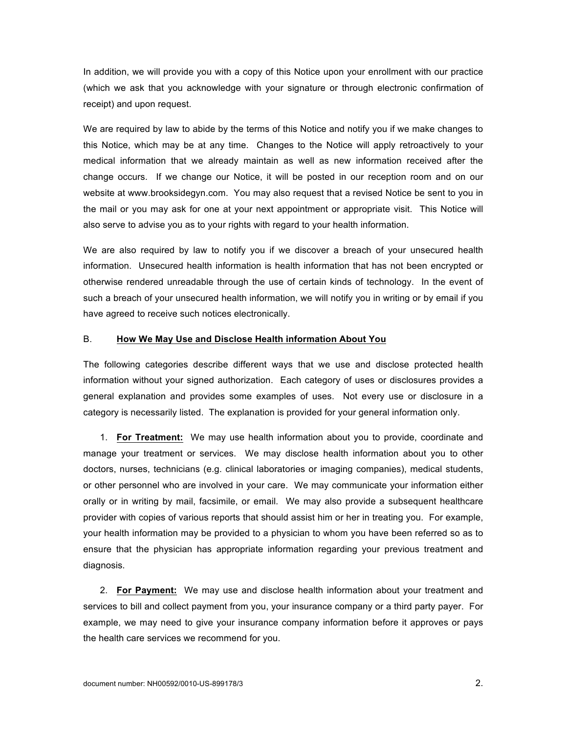In addition, we will provide you with a copy of this Notice upon your enrollment with our practice (which we ask that you acknowledge with your signature or through electronic confirmation of receipt) and upon request.

We are required by law to abide by the terms of this Notice and notify you if we make changes to this Notice, which may be at any time. Changes to the Notice will apply retroactively to your medical information that we already maintain as well as new information received after the change occurs. If we change our Notice, it will be posted in our reception room and on our website at www.brooksidegyn.com. You may also request that a revised Notice be sent to you in the mail or you may ask for one at your next appointment or appropriate visit. This Notice will also serve to advise you as to your rights with regard to your health information.

We are also required by law to notify you if we discover a breach of your unsecured health information. Unsecured health information is health information that has not been encrypted or otherwise rendered unreadable through the use of certain kinds of technology. In the event of such a breach of your unsecured health information, we will notify you in writing or by email if you have agreed to receive such notices electronically.

#### B. **How We May Use and Disclose Health information About You**

The following categories describe different ways that we use and disclose protected health information without your signed authorization. Each category of uses or disclosures provides a general explanation and provides some examples of uses. Not every use or disclosure in a category is necessarily listed. The explanation is provided for your general information only.

1. **For Treatment:** We may use health information about you to provide, coordinate and manage your treatment or services. We may disclose health information about you to other doctors, nurses, technicians (e.g. clinical laboratories or imaging companies), medical students, or other personnel who are involved in your care. We may communicate your information either orally or in writing by mail, facsimile, or email. We may also provide a subsequent healthcare provider with copies of various reports that should assist him or her in treating you. For example, your health information may be provided to a physician to whom you have been referred so as to ensure that the physician has appropriate information regarding your previous treatment and diagnosis.

2. **For Payment:** We may use and disclose health information about your treatment and services to bill and collect payment from you, your insurance company or a third party payer. For example, we may need to give your insurance company information before it approves or pays the health care services we recommend for you.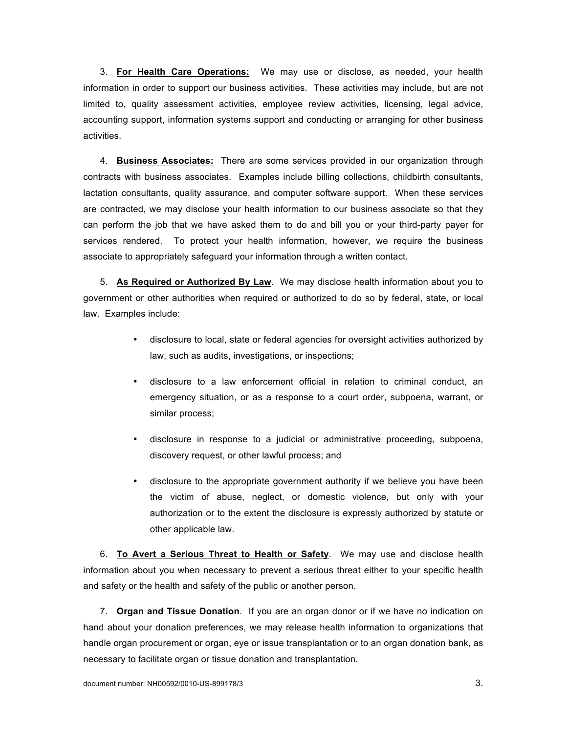3. **For Health Care Operations:** We may use or disclose, as needed, your health information in order to support our business activities. These activities may include, but are not limited to, quality assessment activities, employee review activities, licensing, legal advice, accounting support, information systems support and conducting or arranging for other business activities.

4. **Business Associates:** There are some services provided in our organization through contracts with business associates. Examples include billing collections, childbirth consultants, lactation consultants, quality assurance, and computer software support. When these services are contracted, we may disclose your health information to our business associate so that they can perform the job that we have asked them to do and bill you or your third-party payer for services rendered. To protect your health information, however, we require the business associate to appropriately safeguard your information through a written contact.

5. **As Required or Authorized By Law**. We may disclose health information about you to government or other authorities when required or authorized to do so by federal, state, or local law. Examples include:

- disclosure to local, state or federal agencies for oversight activities authorized by law, such as audits, investigations, or inspections;
- disclosure to a law enforcement official in relation to criminal conduct, an emergency situation, or as a response to a court order, subpoena, warrant, or similar process;
- disclosure in response to a judicial or administrative proceeding, subpoena, discovery request, or other lawful process; and
- disclosure to the appropriate government authority if we believe you have been the victim of abuse, neglect, or domestic violence, but only with your authorization or to the extent the disclosure is expressly authorized by statute or other applicable law.

6. **To Avert a Serious Threat to Health or Safety**. We may use and disclose health information about you when necessary to prevent a serious threat either to your specific health and safety or the health and safety of the public or another person.

7. **Organ and Tissue Donation**. If you are an organ donor or if we have no indication on hand about your donation preferences, we may release health information to organizations that handle organ procurement or organ, eye or issue transplantation or to an organ donation bank, as necessary to facilitate organ or tissue donation and transplantation.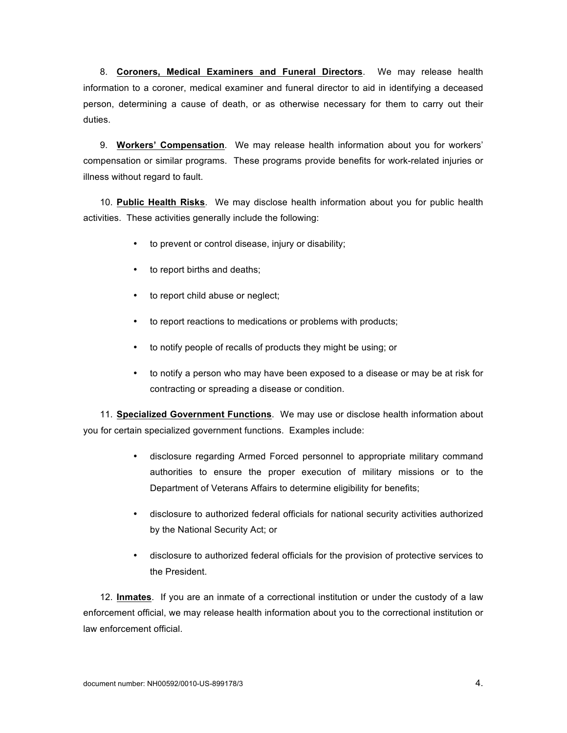8. **Coroners, Medical Examiners and Funeral Directors**. We may release health information to a coroner, medical examiner and funeral director to aid in identifying a deceased person, determining a cause of death, or as otherwise necessary for them to carry out their duties.

9. **Workers' Compensation**. We may release health information about you for workers' compensation or similar programs. These programs provide benefits for work-related injuries or illness without regard to fault.

10. **Public Health Risks**. We may disclose health information about you for public health activities. These activities generally include the following:

- to prevent or control disease, injury or disability;
- to report births and deaths;
- to report child abuse or neglect;
- to report reactions to medications or problems with products;
- to notify people of recalls of products they might be using; or
- to notify a person who may have been exposed to a disease or may be at risk for contracting or spreading a disease or condition.

11. **Specialized Government Functions**. We may use or disclose health information about you for certain specialized government functions. Examples include:

- disclosure regarding Armed Forced personnel to appropriate military command authorities to ensure the proper execution of military missions or to the Department of Veterans Affairs to determine eligibility for benefits;
- disclosure to authorized federal officials for national security activities authorized by the National Security Act; or
- disclosure to authorized federal officials for the provision of protective services to the President.

12. **Inmates**. If you are an inmate of a correctional institution or under the custody of a law enforcement official, we may release health information about you to the correctional institution or law enforcement official.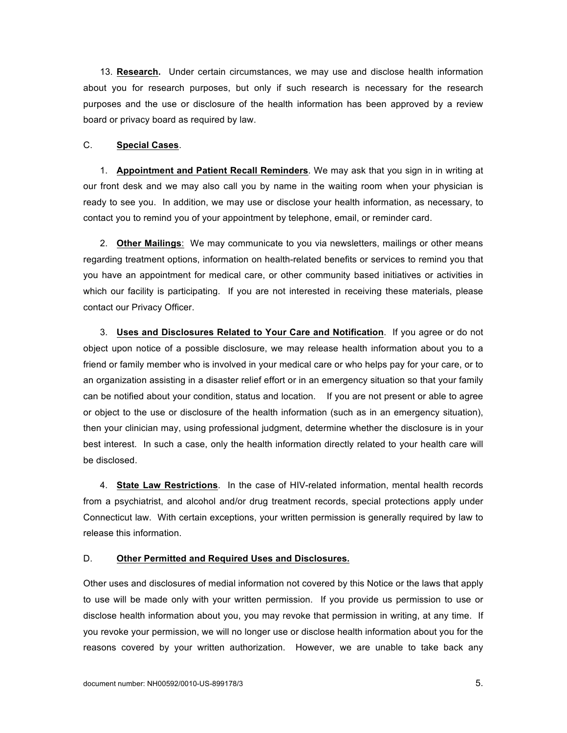13. **Research.** Under certain circumstances, we may use and disclose health information about you for research purposes, but only if such research is necessary for the research purposes and the use or disclosure of the health information has been approved by a review board or privacy board as required by law.

#### C. **Special Cases**.

1. **Appointment and Patient Recall Reminders**. We may ask that you sign in in writing at our front desk and we may also call you by name in the waiting room when your physician is ready to see you. In addition, we may use or disclose your health information, as necessary, to contact you to remind you of your appointment by telephone, email, or reminder card.

2. **Other Mailings**: We may communicate to you via newsletters, mailings or other means regarding treatment options, information on health-related benefits or services to remind you that you have an appointment for medical care, or other community based initiatives or activities in which our facility is participating. If you are not interested in receiving these materials, please contact our Privacy Officer.

3. **Uses and Disclosures Related to Your Care and Notification**. If you agree or do not object upon notice of a possible disclosure, we may release health information about you to a friend or family member who is involved in your medical care or who helps pay for your care, or to an organization assisting in a disaster relief effort or in an emergency situation so that your family can be notified about your condition, status and location. If you are not present or able to agree or object to the use or disclosure of the health information (such as in an emergency situation), then your clinician may, using professional judgment, determine whether the disclosure is in your best interest. In such a case, only the health information directly related to your health care will be disclosed.

4. **State Law Restrictions**. In the case of HIV-related information, mental health records from a psychiatrist, and alcohol and/or drug treatment records, special protections apply under Connecticut law. With certain exceptions, your written permission is generally required by law to release this information.

#### D. **Other Permitted and Required Uses and Disclosures.**

Other uses and disclosures of medial information not covered by this Notice or the laws that apply to use will be made only with your written permission. If you provide us permission to use or disclose health information about you, you may revoke that permission in writing, at any time. If you revoke your permission, we will no longer use or disclose health information about you for the reasons covered by your written authorization. However, we are unable to take back any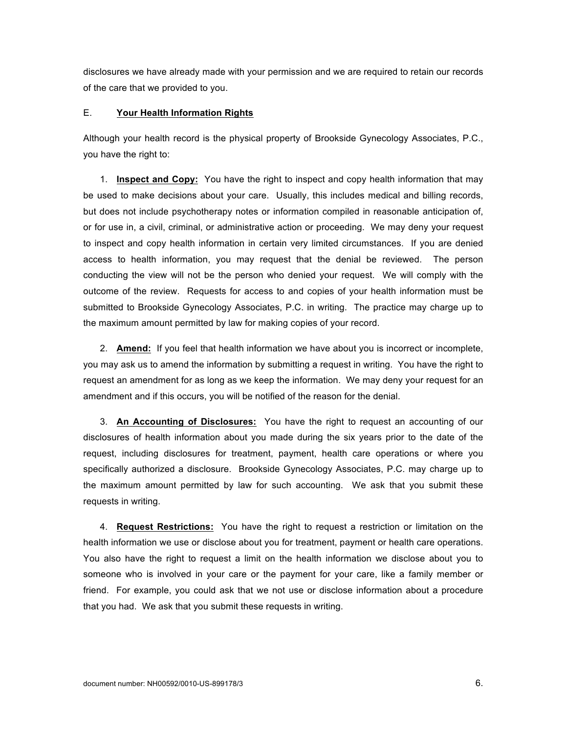disclosures we have already made with your permission and we are required to retain our records of the care that we provided to you.

#### E. **Your Health Information Rights**

Although your health record is the physical property of Brookside Gynecology Associates, P.C., you have the right to:

1. **Inspect and Copy:** You have the right to inspect and copy health information that may be used to make decisions about your care. Usually, this includes medical and billing records, but does not include psychotherapy notes or information compiled in reasonable anticipation of, or for use in, a civil, criminal, or administrative action or proceeding. We may deny your request to inspect and copy health information in certain very limited circumstances. If you are denied access to health information, you may request that the denial be reviewed. The person conducting the view will not be the person who denied your request. We will comply with the outcome of the review. Requests for access to and copies of your health information must be submitted to Brookside Gynecology Associates, P.C. in writing. The practice may charge up to the maximum amount permitted by law for making copies of your record.

2. **Amend:** If you feel that health information we have about you is incorrect or incomplete, you may ask us to amend the information by submitting a request in writing. You have the right to request an amendment for as long as we keep the information. We may deny your request for an amendment and if this occurs, you will be notified of the reason for the denial.

3. **An Accounting of Disclosures:** You have the right to request an accounting of our disclosures of health information about you made during the six years prior to the date of the request, including disclosures for treatment, payment, health care operations or where you specifically authorized a disclosure. Brookside Gynecology Associates, P.C. may charge up to the maximum amount permitted by law for such accounting. We ask that you submit these requests in writing.

4. **Request Restrictions:** You have the right to request a restriction or limitation on the health information we use or disclose about you for treatment, payment or health care operations. You also have the right to request a limit on the health information we disclose about you to someone who is involved in your care or the payment for your care, like a family member or friend. For example, you could ask that we not use or disclose information about a procedure that you had. We ask that you submit these requests in writing.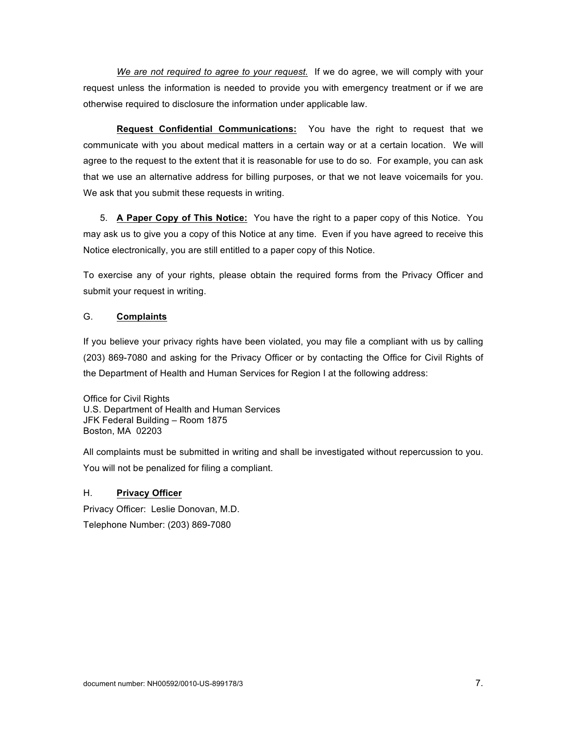*We are not required to agree to your request.* If we do agree, we will comply with your request unless the information is needed to provide you with emergency treatment or if we are otherwise required to disclosure the information under applicable law.

**Request Confidential Communications:** You have the right to request that we communicate with you about medical matters in a certain way or at a certain location. We will agree to the request to the extent that it is reasonable for use to do so. For example, you can ask that we use an alternative address for billing purposes, or that we not leave voicemails for you. We ask that you submit these requests in writing.

5. **A Paper Copy of This Notice:** You have the right to a paper copy of this Notice. You may ask us to give you a copy of this Notice at any time. Even if you have agreed to receive this Notice electronically, you are still entitled to a paper copy of this Notice.

To exercise any of your rights, please obtain the required forms from the Privacy Officer and submit your request in writing.

## G. **Complaints**

If you believe your privacy rights have been violated, you may file a compliant with us by calling (203) 869-7080 and asking for the Privacy Officer or by contacting the Office for Civil Rights of the Department of Health and Human Services for Region I at the following address:

Office for Civil Rights U.S. Department of Health and Human Services JFK Federal Building – Room 1875 Boston, MA 02203

All complaints must be submitted in writing and shall be investigated without repercussion to you. You will not be penalized for filing a compliant.

### H. **Privacy Officer**

Privacy Officer: Leslie Donovan, M.D. Telephone Number: (203) 869-7080